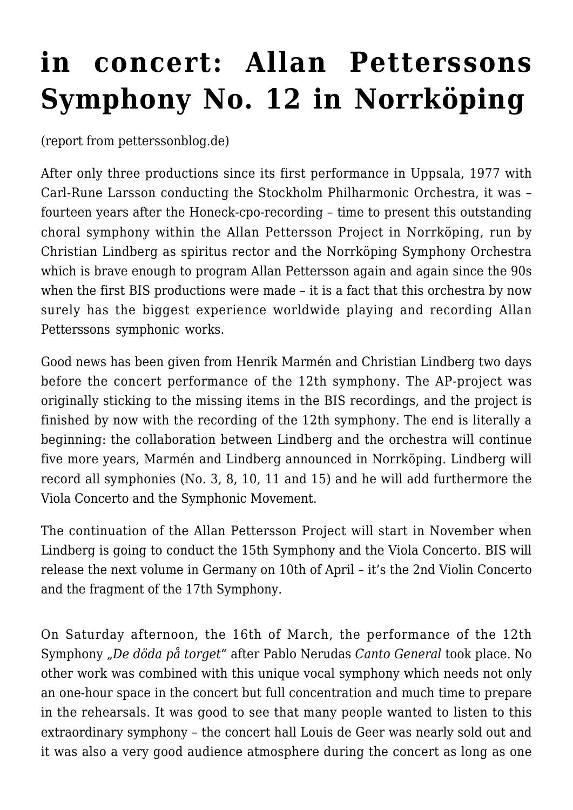## **[in concert: Allan Petterssons](https://mehrlicht.keuk.de/2019/03/19/in-concert-allan-petterssons-symphony-no-12-in-norrkoeping/) [Symphony No. 12 in Norrköping](https://mehrlicht.keuk.de/2019/03/19/in-concert-allan-petterssons-symphony-no-12-in-norrkoeping/)**

(report from [petterssonblog.de\)](https://www.petterssonblog.de/)

After only three productions since its first performance in Uppsala, 1977 with Carl-Rune Larsson conducting the Stockholm Philharmonic Orchestra, it was – fourteen years after the Honeck-cpo-recording – time to present this outstanding choral symphony within the Allan Pettersson Project in Norrköping, run by Christian Lindberg as spiritus rector and the Norrköping Symphony Orchestra which is brave enough to program Allan Pettersson again and again since the 90s when the first BIS productions were made – it is a fact that this orchestra by now surely has the biggest experience worldwide playing and recording Allan Petterssons symphonic works.

Good news has been given from Henrik Marmén and Christian Lindberg two days before the concert performance of the 12th symphony. The AP-project was originally sticking to the missing items in the BIS recordings, and the project is finished by now with the recording of the 12th symphony. The end is literally a beginning: the collaboration between Lindberg and the orchestra will continue five more years, Marmén and Lindberg announced in Norrköping. Lindberg will record all symphonies (No. 3, 8, 10, 11 and 15) and he will add furthermore the Viola Concerto and the Symphonic Movement.

The continuation of the Allan Pettersson Project will start in November when Lindberg is going to conduct the 15th Symphony and the Viola Concerto. BIS will release the next volume in Germany on 10th of April – it's the 2nd Violin Concerto and the fragment of the 17th Symphony.

On Saturday afternoon, the 16th of March, the performance of the 12th Symphony "*De döda på torget*" after Pablo Nerudas *Canto General* took place. No other work was combined with this unique vocal symphony which needs not only an one-hour space in the concert but full concentration and much time to prepare in the rehearsals. It was good to see that many people wanted to listen to this extraordinary symphony – the concert hall Louis de Geer was nearly sold out and it was also a very good audience atmosphere during the concert as long as one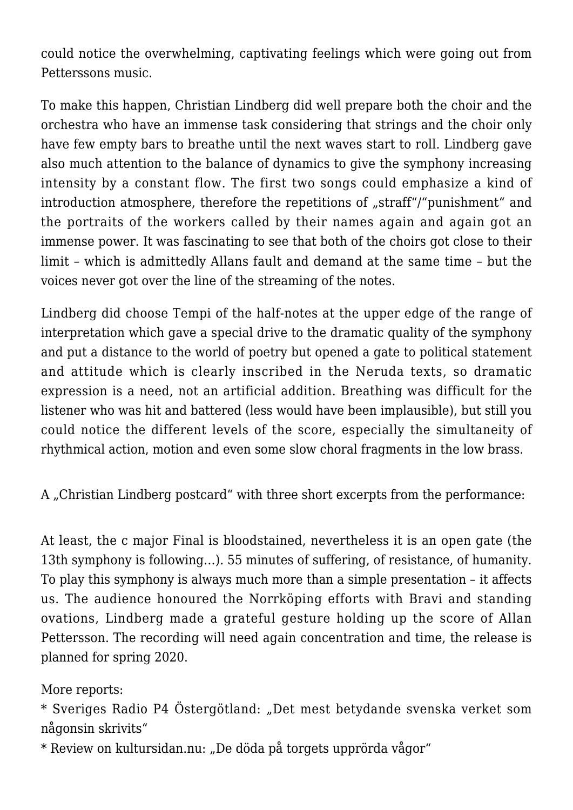could notice the overwhelming, captivating feelings which were going out from Petterssons music.

To make this happen, Christian Lindberg did well prepare both the choir and the orchestra who have an immense task considering that strings and the choir only have few empty bars to breathe until the next waves start to roll. Lindberg gave also much attention to the balance of dynamics to give the symphony increasing intensity by a constant flow. The first two songs could emphasize a kind of introduction atmosphere, therefore the repetitions of "straff"/"punishment" and the portraits of the workers called by their names again and again got an immense power. It was fascinating to see that both of the choirs got close to their limit – which is admittedly Allans fault and demand at the same time – but the voices never got over the line of the streaming of the notes.

Lindberg did choose Tempi of the half-notes at the upper edge of the range of interpretation which gave a special drive to the dramatic quality of the symphony and put a distance to the world of poetry but opened a gate to political statement and attitude which is clearly inscribed in the Neruda texts, so dramatic expression is a need, not an artificial addition. Breathing was difficult for the listener who was hit and battered (less would have been implausible), but still you could notice the different levels of the score, especially the simultaneity of rhythmical action, motion and even some slow choral fragments in the low brass.

A "Christian Lindberg postcard" with three short excerpts from the performance:

At least, the c major Final is bloodstained, nevertheless it is an open gate (the 13th symphony is following…). 55 minutes of suffering, of resistance, of humanity. To play this symphony is always much more than a simple presentation – it affects us. The audience honoured the Norrköping efforts with Bravi and standing ovations, Lindberg made a grateful gesture holding up the score of Allan Pettersson. The recording will need again concentration and time, the release is planned for spring 2020.

More reports:

\* Sveriges Radio P4 Östergötland: ["Det mest betydande svenska verket som](https://sverigesradio.se/sida/artikel.aspx?programid=160&artikel=7176959&fbclid=IwAR0g_FtjC3cn4mPEQ_5Lnp2o75rmkY3Y-7VbNBAJ9lFQa8gTi3jJHK_3BSY) [någonsin skrivits"](https://sverigesradio.se/sida/artikel.aspx?programid=160&artikel=7176959&fbclid=IwAR0g_FtjC3cn4mPEQ_5Lnp2o75rmkY3Y-7VbNBAJ9lFQa8gTi3jJHK_3BSY)

\* Review on kultursidan.nu: ["De döda på torgets upprörda vågor"](https://www.kultursidan.nu/?p=40708)